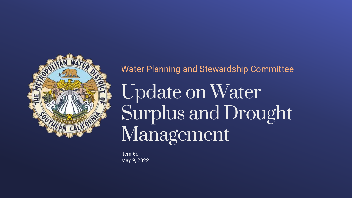

#### Water Planning and Stewardship Committee

Update on Water Surplus and Drought Management

Item 6d May 9, 2022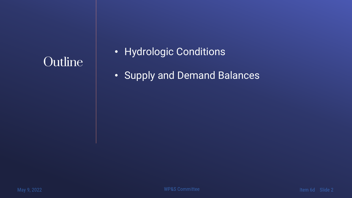## **Outline**

#### • Hydrologic Conditions

• Supply and Demand Balances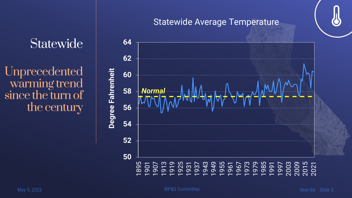# **Statewide**

Unprecedented warming trend since the turn of the century



#### Statewide Average Temperature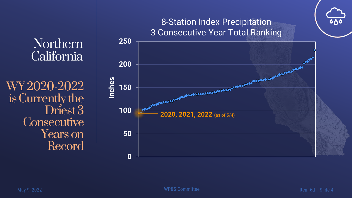#### Northern California

WY 2020-2022 is Currently the Driest 3 **Consecutive** Years on Record



#### May 9, 2022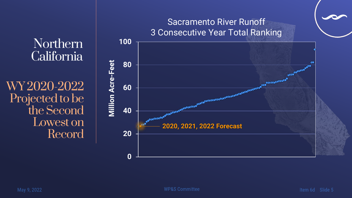#### Northern California

WY 2020-2022 Projected to be the Second Lowest on Record

### **0 20 40 60 80 100** 2020 Forecast and Constitution of the Constitution of the Constitution of the Constitution of the Constitution of the Constitution of the Constitution of the Constitution of the Constitution of the Constitution of the Cons **Million Acre -Feet** Sacramento River Runoff 3 Consecutive Year Total Ranking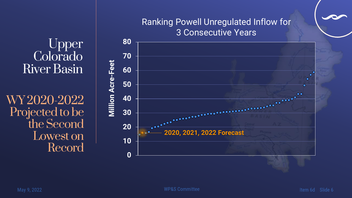#### Upper Colorado River Basin

WY 2020-2022 Projected to be the Second Lowest on Record



# Ranking Powell Unregulated Inflow for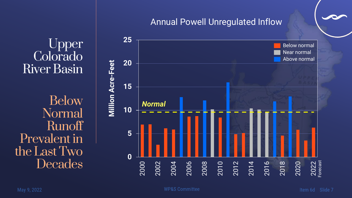Colorado River Basin Below Normal Runoff

Upper





#### Annual Powell Unregulated Inflow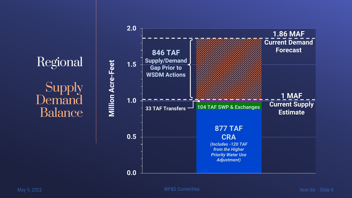Regional Supply Demand Balance

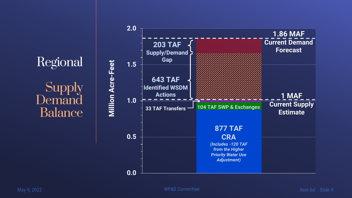Regional Supply Demand Balance

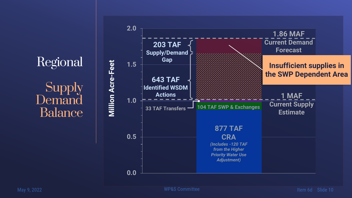Regional **Supply Demand** Balance



Item 6d Slide 10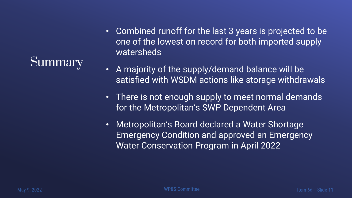# **Summary**

- Combined runoff for the last 3 years is projected to be one of the lowest on record for both imported supply watersheds<sup>'</sup>
- A majority of the supply/demand balance will be satisfied with WSDM actions like storage withdrawals
- There is not enough supply to meet normal demands for the Metropolitan's SWP Dependent Area
- Metropolitan's Board declared a Water Shortage Emergency Condition and approved an Emergency Water Conservation Program in April 2022